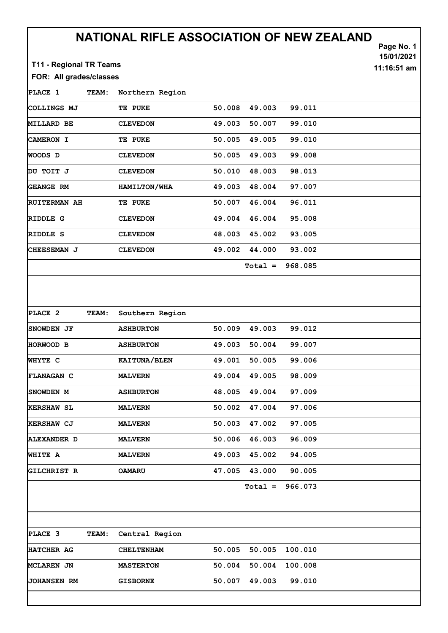## NATIONAL RIFLE ASSOCIATION OF NEW ZEALAND

Page No. 1

15/01/2021

11:16:51 am

T11 - Regional TR Teams

## FOR: All grades/classes

PLACE 1 TEAM: Northern Region COLLINGS MJ TE PUKE 50.008 49.003 99.011 MILLARD BE CLEVEDON 49.003 50.007 99.010 CAMERON I TE PUKE 50.005 49.005 99.010 WOODS D CLEVEDON 50.005 49.003 99.008 DU TOIT J CLEVEDON 50.010 48.003 98.013 GEANGE RM HAMILTON/WHA 49.003 48.004 97.007 RUITERMAN AH TE PUKE 50.007 46.004 96.011 RIDDLE G CLEVEDON 49.004 46.004 95.008 RIDDLE S CLEVEDON 48.003 45.002 93.005 CHEESEMAN J CLEVEDON 49.002 44.000 93.002 Total = 968.085

| PLACE 2            | TEAM: | Southern Region  |        |           |         |  |
|--------------------|-------|------------------|--------|-----------|---------|--|
| <b>SNOWDEN JF</b>  |       | <b>ASHBURTON</b> | 50.009 | 49.003    | 99.012  |  |
| HORWOOD B          |       | <b>ASHBURTON</b> | 49.003 | 50.004    | 99.007  |  |
| WHYTE C            |       | KAITUNA/BLEN     | 49.001 | 50.005    | 99.006  |  |
| <b>FLANAGAN C</b>  |       | <b>MALVERN</b>   | 49.004 | 49.005    | 98.009  |  |
| <b>ISNOWDEN M</b>  |       | <b>ASHBURTON</b> | 48.005 | 49.004    | 97.009  |  |
| KERSHAW SL         |       | <b>MALVERN</b>   | 50.002 | 47.004    | 97.006  |  |
| KERSHAW CJ         |       | <b>MALVERN</b>   | 50.003 | 47.002    | 97.005  |  |
| <b>ALEXANDER D</b> |       | <b>MALVERN</b>   | 50.006 | 46.003    | 96.009  |  |
| WHITE A            |       | <b>MALVERN</b>   | 49.003 | 45.002    | 94.005  |  |
| <b>GILCHRIST R</b> |       | <b>OAMARU</b>    | 47.005 | 43.000    | 90.005  |  |
|                    |       |                  |        | $Total =$ | 966.073 |  |
|                    |       |                  |        |           |         |  |

PLACE 3 TEAM: Central Region |HATCHER AG CHELTENHAM 50.005 50.005 100.010 MCLAREN JN MASTERTON 50.004 50.004 100.008 JOHANSEN RM GISBORNE 50.007 49.003 99.010